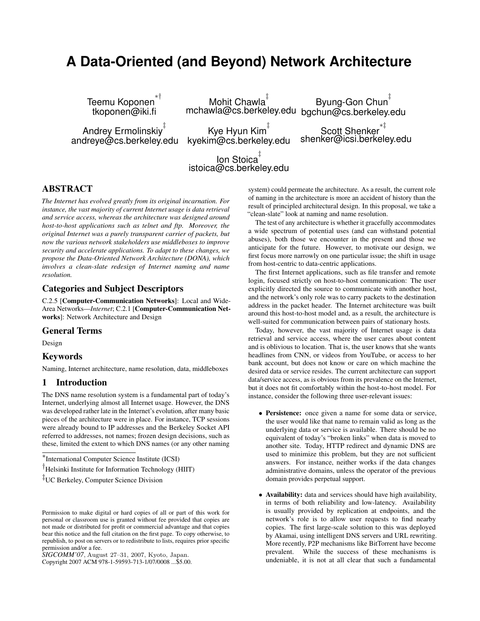# **A Data-Oriented (and Beyond) Network Architecture**

Teemu Koponen∗† tkoponen@iki.fi

Andrey Ermolinskiy<sup>‡</sup> andreye@cs.berkeley.edu Mohit Chawla‡ mchawla@cs.berkeley.edu Byung-Gon Chun‡ bgchun@cs.berkeley.edu

Kye Hyun Kim<sup>‡</sup> kyekim@cs.berkeley.edu

Scott Shenker∗‡ shenker@icsi.berkeley.edu

Ion Stoica<sup>‡</sup> istoica@cs.berkeley.edu

# ABSTRACT

*The Internet has evolved greatly from its original incarnation. For instance, the vast majority of current Internet usage is data retrieval and service access, whereas the architecture was designed around host-to-host applications such as telnet and ftp. Moreover, the original Internet was a purely transparent carrier of packets, but now the various network stakeholders use middleboxes to improve security and accelerate applications. To adapt to these changes, we propose the Data-Oriented Network Architecture (DONA), which involves a clean-slate redesign of Internet naming and name resolution.*

# Categories and Subject Descriptors

C.2.5 [Computer-Communication Networks]: Local and Wide-Area Networks—*Internet*; C.2.1 [Computer-Communication Networks]: Network Architecture and Design

# General Terms

Design

### Keywords

Naming, Internet architecture, name resolution, data, middleboxes

# 1 Introduction

The DNS name resolution system is a fundamental part of today's Internet, underlying almost all Internet usage. However, the DNS was developed rather late in the Internet's evolution, after many basic pieces of the architecture were in place. For instance, TCP sessions were already bound to IP addresses and the Berkeley Socket API referred to addresses, not names; frozen design decisions, such as these, limited the extent to which DNS names (or any other naming

∗International Computer Science Institute (ICSI)

Copyright 2007 ACM 978-1-59593-713-1/07/0008 ...\$5.00.

system) could permeate the architecture. As a result, the current role of naming in the architecture is more an accident of history than the result of principled architectural design. In this proposal, we take a "clean-slate" look at naming and name resolution.

The test of any architecture is whether it gracefully accommodates a wide spectrum of potential uses (and can withstand potential abuses), both those we encounter in the present and those we anticipate for the future. However, to motivate our design, we first focus more narrowly on one particular issue; the shift in usage from host-centric to data-centric applications.

The first Internet applications, such as file transfer and remote login, focused strictly on host-to-host communication: The user explicitly directed the source to communicate with another host, and the network's only role was to carry packets to the destination address in the packet header. The Internet architecture was built around this host-to-host model and, as a result, the architecture is well-suited for communication between pairs of stationary hosts.

Today, however, the vast majority of Internet usage is data retrieval and service access, where the user cares about content and is oblivious to location. That is, the user knows that she wants headlines from CNN, or videos from YouTube, or access to her bank account, but does not know or care on which machine the desired data or service resides. The current architecture can support data/service access, as is obvious from its prevalence on the Internet, but it does not fit comfortably within the host-to-host model. For instance, consider the following three user-relevant issues:

- Persistence: once given a name for some data or service, the user would like that name to remain valid as long as the underlying data or service is available. There should be no equivalent of today's "broken links" when data is moved to another site. Today, HTTP redirect and dynamic DNS are used to minimize this problem, but they are not sufficient answers. For instance, neither works if the data changes administrative domains, unless the operator of the previous domain provides perpetual support.
- Availability: data and services should have high availability, in terms of both reliability and low-latency. Availability is usually provided by replication at endpoints, and the network's role is to allow user requests to find nearby copies. The first large-scale solution to this was deployed by Akamai, using intelligent DNS servers and URL rewriting. More recently, P2P mechanisms like BitTorrent have become prevalent. While the success of these mechanisms is undeniable, it is not at all clear that such a fundamental

<sup>&</sup>lt;sup>†</sup>Helsinki Institute for Information Technology (HIIT)

<sup>‡</sup>UC Berkeley, Computer Science Division

Permission to make digital or hard copies of all or part of this work for personal or classroom use is granted without fee provided that copies are not made or distributed for profit or commercial advantage and that copies bear this notice and the full citation on the first page. To copy otherwise, to republish, to post on servers or to redistribute to lists, requires prior specific permission and/or a fee.

*SIGCOMM'07*, August 27–31, 2007, Kyoto, Japan.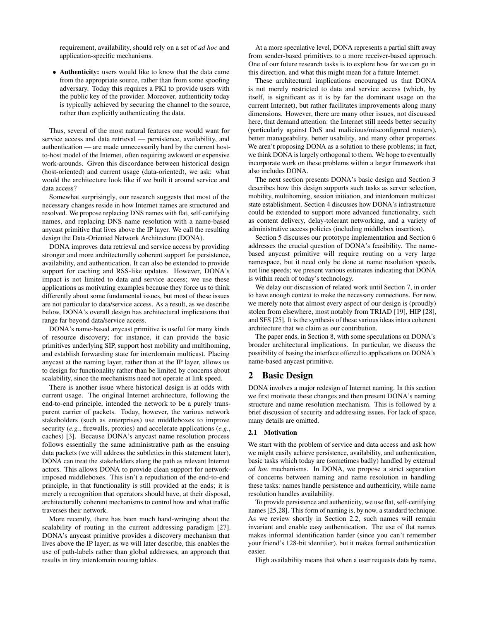requirement, availability, should rely on a set of *ad hoc* and application-specific mechanisms.

• Authenticity: users would like to know that the data came from the appropriate source, rather than from some spoofing adversary. Today this requires a PKI to provide users with the public key of the provider. Moreover, authenticity today is typically achieved by securing the channel to the source, rather than explicitly authenticating the data.

Thus, several of the most natural features one would want for service access and data retrieval — persistence, availability, and authentication — are made unnecessarily hard by the current hostto-host model of the Internet, often requiring awkward or expensive work-arounds. Given this discordance between historical design (host-oriented) and current usage (data-oriented), we ask: what would the architecture look like if we built it around service and data access?

Somewhat surprisingly, our research suggests that most of the necessary changes reside in how Internet names are structured and resolved. We propose replacing DNS names with flat, self-certifying names, and replacing DNS name resolution with a name-based anycast primitive that lives above the IP layer. We call the resulting design the Data-Oriented Network Architecture (DONA).

DONA improves data retrieval and service access by providing stronger and more architecturally coherent support for persistence, availability, and authentication. It can also be extended to provide support for caching and RSS-like updates. However, DONA's impact is not limited to data and service access; we use these applications as motivating examples because they force us to think differently about some fundamental issues, but most of these issues are not particular to data/service access. As a result, as we describe below, DONA's overall design has architectural implications that range far beyond data/service access.

DONA's name-based anycast primitive is useful for many kinds of resource discovery; for instance, it can provide the basic primitives underlying SIP, support host mobility and multihoming, and establish forwarding state for interdomain multicast. Placing anycast at the naming layer, rather than at the IP layer, allows us to design for functionality rather than be limited by concerns about scalability, since the mechanisms need not operate at link speed.

There is another issue where historical design is at odds with current usage. The original Internet architecture, following the end-to-end principle, intended the network to be a purely transparent carrier of packets. Today, however, the various network stakeholders (such as enterprises) use middleboxes to improve security (*e.g.*, firewalls, proxies) and accelerate applications (*e.g.*, caches) [3]. Because DONA's anycast name resolution process follows essentially the same administrative path as the ensuing data packets (we will address the subtleties in this statement later), DONA can treat the stakeholders along the path as relevant Internet actors. This allows DONA to provide clean support for networkimposed middleboxes. This isn't a repudiation of the end-to-end principle, in that functionality is still provided at the ends; it is merely a recognition that operators should have, at their disposal, architecturally coherent mechanisms to control how and what traffic traverses their network.

More recently, there has been much hand-wringing about the scalability of routing in the current addressing paradigm [27]. DONA's anycast primitive provides a discovery mechanism that lives above the IP layer; as we will later describe, this enables the use of path-labels rather than global addresses, an approach that results in tiny interdomain routing tables.

At a more speculative level, DONA represents a partial shift away from sender-based primitives to a more receiver-based approach. One of our future research tasks is to explore how far we can go in this direction, and what this might mean for a future Internet.

These architectural implications encouraged us that DONA is not merely restricted to data and service access (which, by itself, is significant as it is by far the dominant usage on the current Internet), but rather facilitates improvements along many dimensions. However, there are many other issues, not discussed here, that demand attention: the Internet still needs better security (particularly against DoS and malicious/misconfigured routers), better manageability, better usability, and many other properties. We aren't proposing DONA as a solution to these problems; in fact, we think DONA is largely orthogonal to them. We hope to eventually incorporate work on these problems within a larger framework that also includes DONA.

The next section presents DONA's basic design and Section 3 describes how this design supports such tasks as server selection, mobility, multihoming, session initiation, and interdomain multicast state establishment. Section 4 discusses how DONA's infrastructure could be extended to support more advanced functionality, such as content delivery, delay-tolerant networking, and a variety of administrative access policies (including middlebox insertion).

Section 5 discusses our prototype implementation and Section 6 addresses the crucial question of DONA's feasibility. The namebased anycast primitive will require routing on a very large namespace, but it need only be done at name resolution speeds, not line speeds; we present various estimates indicating that DONA is within reach of today's technology.

We delay our discussion of related work until Section 7, in order to have enough context to make the necessary connections. For now, we merely note that almost every aspect of our design is (proudly) stolen from elsewhere, most notably from TRIAD [19], HIP [28], and SFS [25]. It is the synthesis of these various ideas into a coherent architecture that we claim as our contribution.

The paper ends, in Section 8, with some speculations on DONA's broader architectural implications. In particular, we discuss the possibility of basing the interface offered to applications on DONA's name-based anycast primitive.

# 2 Basic Design

DONA involves a major redesign of Internet naming. In this section we first motivate these changes and then present DONA's naming structure and name resolution mechanism. This is followed by a brief discussion of security and addressing issues. For lack of space, many details are omitted.

### 2.1 Motivation

We start with the problem of service and data access and ask how we might easily achieve persistence, availability, and authentication, basic tasks which today are (sometimes badly) handled by external *ad hoc* mechanisms. In DONA, we propose a strict separation of concerns between naming and name resolution in handling these tasks: names handle persistence and authenticity, while name resolution handles availability.

To provide persistence and authenticity, we use flat, self-certifying names [25,28]. This form of naming is, by now, a standard technique. As we review shortly in Section 2.2, such names will remain invariant and enable easy authentication. The use of flat names makes informal identification harder (since you can't remember your friend's 128-bit identifier), but it makes formal authentication easier.

High availability means that when a user requests data by name,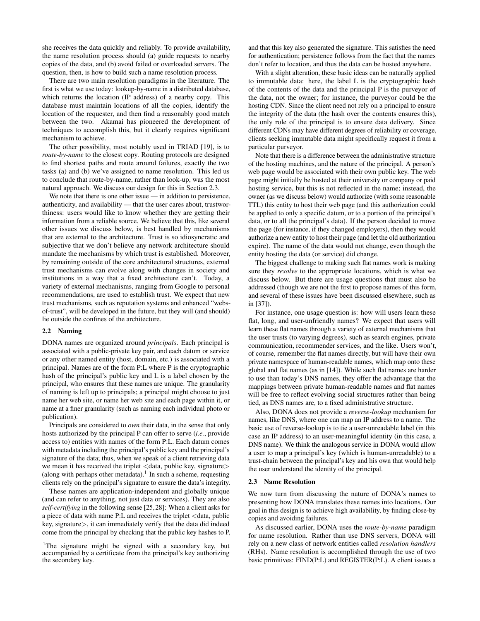she receives the data quickly and reliably. To provide availability, the name resolution process should (a) guide requests to nearby copies of the data, and (b) avoid failed or overloaded servers. The question, then, is how to build such a name resolution process.

There are two main resolution paradigms in the literature. The first is what we use today: lookup-by-name in a distributed database, which returns the location (IP address) of a nearby copy. This database must maintain locations of all the copies, identify the location of the requester, and then find a reasonably good match between the two. Akamai has pioneered the development of techniques to accomplish this, but it clearly requires significant mechanism to achieve.

The other possibility, most notably used in TRIAD [19], is to *route-by-name* to the closest copy. Routing protocols are designed to find shortest paths and route around failures, exactly the two tasks (a) and (b) we've assigned to name resolution. This led us to conclude that route-by-name, rather than look-up, was the most natural approach. We discuss our design for this in Section 2.3.

We note that there is one other issue — in addition to persistence, authenticity, and availability — that the user cares about, trustworthiness: users would like to know whether they are getting their information from a reliable source. We believe that this, like several other issues we discuss below, is best handled by mechanisms that are external to the architecture. Trust is so idiosyncratic and subjective that we don't believe any network architecture should mandate the mechanisms by which trust is established. Moreover, by remaining outside of the core architectural structures, external trust mechanisms can evolve along with changes in society and institutions in a way that a fixed architecture can't. Today, a variety of external mechanisms, ranging from Google to personal recommendations, are used to establish trust. We expect that new trust mechanisms, such as reputation systems and enhanced "websof-trust", will be developed in the future, but they will (and should) lie outside the confines of the architecture.

### 2.2 Naming

DONA names are organized around *principals*. Each principal is associated with a public-private key pair, and each datum or service or any other named entity (host, domain, etc.) is associated with a principal. Names are of the form P:L where P is the cryptographic hash of the principal's public key and L is a label chosen by the principal, who ensures that these names are unique. The granularity of naming is left up to principals; a principal might choose to just name her web site, or name her web site and each page within it, or name at a finer granularity (such as naming each individual photo or publication).

Principals are considered to *own* their data, in the sense that only hosts authorized by the principal P can offer to serve (*i.e.*, provide access to) entities with names of the form P:L. Each datum comes with metadata including the principal's public key and the principal's signature of the data; thus, when we speak of a client retrieving data we mean it has received the triplet <data, public key, signature> (along with perhaps other metadata).<sup>1</sup> In such a scheme, requesting clients rely on the principal's signature to ensure the data's integrity.

These names are application-independent and globally unique (and can refer to anything, not just data or services). They are also *self-certifying* in the following sense [25,28]: When a client asks for a piece of data with name P:L and receives the triplet <data, public key, signature>, it can immediately verify that the data did indeed come from the principal by checking that the public key hashes to P, and that this key also generated the signature. This satisfies the need for authentication; persistence follows from the fact that the names don't refer to location, and thus the data can be hosted anywhere.

With a slight alteration, these basic ideas can be naturally applied to immutable data: here, the label L is the cryptographic hash of the contents of the data and the principal P is the purveyor of the data, not the owner; for instance, the purveyor could be the hosting CDN. Since the client need not rely on a principal to ensure the integrity of the data (the hash over the contents ensures this), the only role of the principal is to ensure data delivery. Since different CDNs may have different degrees of reliability or coverage, clients seeking immutable data might specifically request it from a particular purveyor.

Note that there is a difference between the administrative structure of the hosting machines, and the nature of the principal. A person's web page would be associated with their own public key. The web page might initially be hosted at their university or company or paid hosting service, but this is not reflected in the name; instead, the owner (as we discuss below) would authorize (with some reasonable TTL) this entity to host their web page (and this authorization could be applied to only a specific datum, or to a portion of the principal's data, or to all the principal's data). If the person decided to move the page (for instance, if they changed employers), then they would authorize a new entity to host their page (and let the old authorization expire). The name of the data would not change, even though the entity hosting the data (or service) did change.

The biggest challenge to making such flat names work is making sure they *resolve* to the appropriate locations, which is what we discuss below. But there are usage questions that must also be addressed (though we are not the first to propose names of this form, and several of these issues have been discussed elsewhere, such as in [37]).

For instance, one usage question is: how will users learn these flat, long, and user-unfriendly names? We expect that users will learn these flat names through a variety of external mechanisms that the user trusts (to varying degrees), such as search engines, private communication, recommender services, and the like. Users won't, of course, remember the flat names directly, but will have their own private namespace of human-readable names, which map onto these global and flat names (as in [14]). While such flat names are harder to use than today's DNS names, they offer the advantage that the mappings between private human-readable names and flat names will be free to reflect evolving social structures rather than being tied, as DNS names are, to a fixed administrative structure.

Also, DONA does not provide a *reverse-lookup* mechanism for names, like DNS, where one can map an IP address to a name. The basic use of reverse-lookup is to tie a user-unreadable label (in this case an IP address) to an user-meaningful identity (in this case, a DNS name). We think the analogous service in DONA would allow a user to map a principal's key (which is human-unreadable) to a trust-chain between the principal's key and his own that would help the user understand the identity of the principal.

### 2.3 Name Resolution

We now turn from discussing the nature of DONA's names to presenting how DONA translates these names into locations. Our goal in this design is to achieve high availability, by finding close-by copies and avoiding failures.

As discussed earlier, DONA uses the *route-by-name* paradigm for name resolution. Rather than use DNS servers, DONA will rely on a new class of network entities called *resolution handlers* (RHs). Name resolution is accomplished through the use of two basic primitives: FIND(P:L) and REGISTER(P:L). A client issues a

<sup>&</sup>lt;sup>1</sup>The signature might be signed with a secondary key, but accompanied by a certificate from the principal's key authorizing the secondary key.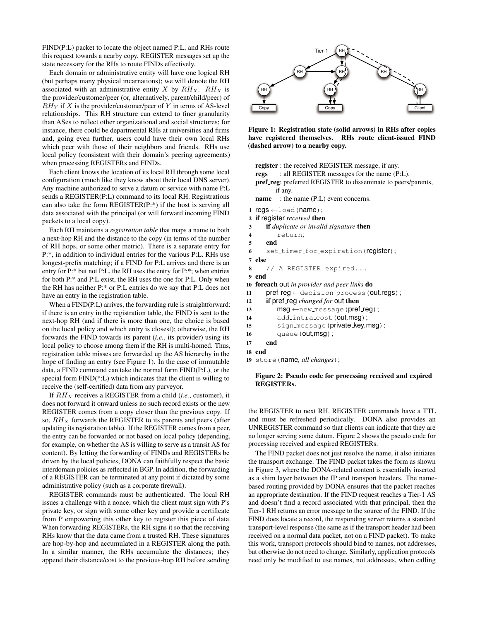FIND(P:L) packet to locate the object named P:L, and RHs route this request towards a nearby copy. REGISTER messages set up the state necessary for the RHs to route FINDs effectively.

Each domain or administrative entity will have one logical RH (but perhaps many physical incarnations); we will denote the RH associated with an administrative entity X by  $RH_X$ .  $RH_X$  is the provider/customer/peer (or, alternatively, parent/child/peer) of  $RH_Y$  if X is the provider/customer/peer of Y in terms of AS-level relationships. This RH structure can extend to finer granularity than ASes to reflect other organizational and social structures; for instance, there could be departmental RHs at universities and firms and, going even further, users could have their own local RHs which peer with those of their neighbors and friends. RHs use local policy (consistent with their domain's peering agreements) when processing REGISTERs and FINDs.

Each client knows the location of its local RH through some local configuration (much like they know about their local DNS server). Any machine authorized to serve a datum or service with name P:L sends a REGISTER(P:L) command to its local RH. Registrations can also take the form REGISTER(P:\*) if the host is serving all data associated with the principal (or will forward incoming FIND packets to a local copy).

Each RH maintains a *registration table* that maps a name to both a next-hop RH and the distance to the copy (in terms of the number of RH hops, or some other metric). There is a separate entry for P:\*, in addition to individual entries for the various P:L. RHs use longest-prefix matching; if a FIND for P:L arrives and there is an entry for P:\* but not P:L, the RH uses the entry for P:\*; when entries for both P:\* and P:L exist, the RH uses the one for P:L. Only when the RH has neither P:\* or P:L entries do we say that P:L does not have an entry in the registration table.

When a FIND(P:L) arrives, the forwarding rule is straightforward: if there is an entry in the registration table, the FIND is sent to the next-hop RH (and if there is more than one, the choice is based on the local policy and which entry is closest); otherwise, the RH forwards the FIND towards its parent (*i.e.*, its provider) using its local policy to choose among them if the RH is multi-homed. Thus, registration table misses are forwarded up the AS hierarchy in the hope of finding an entry (see Figure 1). In the case of immutable data, a FIND command can take the normal form FIND(P:L), or the special form FIND(\*:L) which indicates that the client is willing to receive the (self-certified) data from any purveyor.

If  $RH_X$  receives a REGISTER from a child *(i.e.*, customer), it does not forward it onward unless no such record exists or the new REGISTER comes from a copy closer than the previous copy. If so,  $RH_X$  forwards the REGISTER to its parents and peers (after updating its registration table). If the REGISTER comes from a peer, the entry can be forwarded or not based on local policy (depending, for example, on whether the AS is willing to serve as a transit AS for content). By letting the forwarding of FINDs and REGISTERs be driven by the local policies, DONA can faithfully respect the basic interdomain policies as reflected in BGP. In addition, the forwarding of a REGISTER can be terminated at any point if dictated by some administrative policy (such as a corporate firewall).

REGISTER commands must be authenticated. The local RH issues a challenge with a nonce, which the client must sign with P's private key, or sign with some other key and provide a certificate from P empowering this other key to register this piece of data. When forwarding REGISTERs, the RH signs it so that the receiving RHs know that the data came from a trusted RH. These signatures are hop-by-hop and accumulated in a REGISTER along the path. In a similar manner, the RHs accumulate the distances; they append their distance/cost to the previous-hop RH before sending



Figure 1: Registration state (solid arrows) in RHs after copies have registered themselves. RHs route client-issued FIND (dashed arrow) to a nearby copy.

```
register : the received REGISTER message, if any.
   regs : all REGISTER messages for the name (P:L).
   pref reg: preferred REGISTER to disseminate to peers/parents,
         if any.
   name : the name (P:L) event concerns.
1 regs ←load(name);
2 if register received then
3 if duplicate or invalid signature then
4 return;
5 end
6 set timer for expiration (register);
7 else
8 // A REGISTER expired...
9 end
10 foreach out in provider and peer links do
11 pref_reg ←decision_process(out,regs);<br>12 if pref_reg changed for out then
      if pref reg changed for out then
13 msg ← new message (pref reg);<br>14 add intra cost (out msg):
         14 add intra cost(out,msg);
15 sign message(private key,msg);
16 queue(out,msg);
17 end
18 end
19 store(name, all changes);
```
### Figure 2: Pseudo code for processing received and expired REGISTERs.

the REGISTER to next RH. REGISTER commands have a TTL and must be refreshed periodically. DONA also provides an UNREGISTER command so that clients can indicate that they are no longer serving some datum. Figure 2 shows the pseudo code for processing received and expired REGISTERs.

The FIND packet does not just resolve the name, it also initiates the transport exchange. The FIND packet takes the form as shown in Figure 3, where the DONA-related content is essentially inserted as a shim layer between the IP and transport headers. The namebased routing provided by DONA ensures that the packet reaches an appropriate destination. If the FIND request reaches a Tier-1 AS and doesn't find a record associated with that principal, then the Tier-1 RH returns an error message to the source of the FIND. If the FIND does locate a record, the responding server returns a standard transport-level response (the same as if the transport header had been received on a normal data packet, not on a FIND packet). To make this work, transport protocols should bind to names, not addresses, but otherwise do not need to change. Similarly, application protocols need only be modified to use names, not addresses, when calling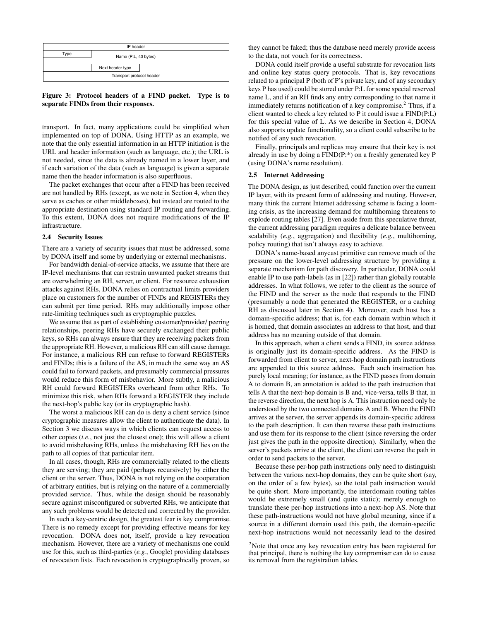

Figure 3: Protocol headers of a FIND packet. Type is to separate FINDs from their responses.

transport. In fact, many applications could be simplified when implemented on top of DONA. Using HTTP as an example, we note that the only essential information in an HTTP initiation is the URL and header information (such as language, etc.); the URL is not needed, since the data is already named in a lower layer, and if each variation of the data (such as language) is given a separate name then the header information is also superfluous.

The packet exchanges that occur after a FIND has been received are not handled by RHs (except, as we note in Section 4, when they serve as caches or other middleboxes), but instead are routed to the appropriate destination using standard IP routing and forwarding. To this extent, DONA does not require modifications of the IP infrastructure.

### 2.4 Security Issues

There are a variety of security issues that must be addressed, some by DONA itself and some by underlying or external mechanisms.

For bandwidth denial-of-service attacks, we assume that there are IP-level mechanisms that can restrain unwanted packet streams that are overwhelming an RH, server, or client. For resource exhaustion attacks against RHs, DONA relies on contractual limits providers place on customers for the number of FINDs and REGISTERs they can submit per time period. RHs may additionally impose other rate-limiting techniques such as cryptographic puzzles.

We assume that as part of establishing customer/provider/ peering relationships, peering RHs have securely exchanged their public keys, so RHs can always ensure that they are receiving packets from the appropriate RH. However, a malicious RH can still cause damage. For instance, a malicious RH can refuse to forward REGISTERs and FINDs; this is a failure of the AS, in much the same way an AS could fail to forward packets, and presumably commercial pressures would reduce this form of misbehavior. More subtly, a malicious RH could forward REGISTERs overheard from other RHs. To minimize this risk, when RHs forward a REGISTER they include the next-hop's public key (or its cryptographic hash).

The worst a malicious RH can do is deny a client service (since cryptographic measures allow the client to authenticate the data). In Section 3 we discuss ways in which clients can request access to other copies (*i.e.*, not just the closest one); this will allow a client to avoid misbehaving RHs, unless the misbehaving RH lies on the path to all copies of that particular item.

In all cases, though, RHs are commercially related to the clients they are serving; they are paid (perhaps recursively) by either the client or the server. Thus, DONA is not relying on the cooperation of arbitrary entities, but is relying on the nature of a commercially provided service. Thus, while the design should be reasonably secure against misconfigured or subverted RHs, we anticipate that any such problems would be detected and corrected by the provider.

In such a key-centric design, the greatest fear is key compromise. There is no remedy except for providing effective means for key revocation. DONA does not, itself, provide a key revocation mechanism. However, there are a variety of mechanisms one could use for this, such as third-parties (*e.g.*, Google) providing databases of revocation lists. Each revocation is cryptographically proven, so

they cannot be faked; thus the database need merely provide access to the data, not vouch for its correctness.

DONA could itself provide a useful substrate for revocation lists and online key status query protocols. That is, key revocations related to a principal P (both of P's private key, and of any secondary keys P has used) could be stored under P:L for some special reserved name L, and if an RH finds any entry corresponding to that name it immediately returns notification of a key compromise.<sup>2</sup> Thus, if a client wanted to check a key related to P it could issue a FIND(P:L) for this special value of L. As we describe in Section 4, DONA also supports update functionality, so a client could subscribe to be notified of any such revocation.

Finally, principals and replicas may ensure that their key is not already in use by doing a FIND(P:\*) on a freshly generated key P (using DONA's name resolution).

### 2.5 Internet Addressing

The DONA design, as just described, could function over the current IP layer, with its present form of addressing and routing. However, many think the current Internet addressing scheme is facing a looming crisis, as the increasing demand for multihoming threatens to explode routing tables [27]. Even aside from this speculative threat, the current addressing paradigm requires a delicate balance between scalability (*e.g.*, aggregation) and flexibility (*e.g.*, multihoming, policy routing) that isn't always easy to achieve.

DONA's name-based anycast primitive can remove much of the pressure on the lower-level addressing structure by providing a separate mechanism for path discovery. In particular, DONA could enable IP to use path-labels (as in [22]) rather than globally routable addresses. In what follows, we refer to the client as the source of the FIND and the server as the node that responds to the FIND (presumably a node that generated the REGISTER, or a caching RH as discussed later in Section 4). Moreover, each host has a domain-specific address; that is, for each domain within which it is homed, that domain associates an address to that host, and that address has no meaning outside of that domain.

In this approach, when a client sends a FIND, its source address is originally just its domain-specific address. As the FIND is forwarded from client to server, next-hop domain path instructions are appended to this source address. Each such instruction has purely local meaning; for instance, as the FIND passes from domain A to domain B, an annotation is added to the path instruction that tells A that the next-hop domain is B and, vice-versa, tells B that, in the reverse direction, the next hop is A. This instruction need only be understood by the two connected domains A and B. When the FIND arrives at the server, the server appends its domain-specific address to the path description. It can then reverse these path instructions and use them for its response to the client (since reversing the order just gives the path in the opposite direction). Similarly, when the server's packets arrive at the client, the client can reverse the path in order to send packets to the server.

Because these per-hop path instructions only need to distinguish between the various next-hop domains, they can be quite short (say, on the order of a few bytes), so the total path instruction would be quite short. More importantly, the interdomain routing tables would be extremely small (and quite static); merely enough to translate these per-hop instructions into a next-hop AS. Note that these path-instructions would not have global meaning, since if a source in a different domain used this path, the domain-specific next-hop instructions would not necessarily lead to the desired

<sup>&</sup>lt;sup>2</sup>Note that once any key revocation entry has been registered for that principal, there is nothing the key compromiser can do to cause its removal from the registration tables.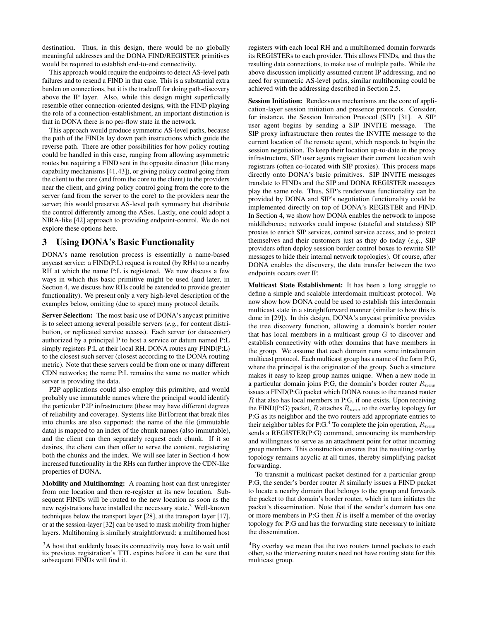destination. Thus, in this design, there would be no globally meaningful addresses and the DONA FIND/REGISTER primitives would be required to establish end-to-end connectivity.

This approach would require the endpoints to detect AS-level path failures and to resend a FIND in that case. This is a substantial extra burden on connections, but it is the tradeoff for doing path-discovery above the IP layer. Also, while this design might superficially resemble other connection-oriented designs, with the FIND playing the role of a connection-establishment, an important distinction is that in DONA there is no per-flow state in the network.

This approach would produce symmetric AS-level paths, because the path of the FINDs lay down path instructions which guide the reverse path. There are other possibilities for how policy routing could be handled in this case, ranging from allowing asymmetric routes but requiring a FIND sent in the opposite direction (like many capability mechanisms [41,43]), or giving policy control going from the client to the core (and from the core to the client) to the providers near the client, and giving policy control going from the core to the server (and from the server to the core) to the providers near the server; this would preserve AS-level path symmetry but distribute the control differently among the ASes. Lastly, one could adopt a NIRA-like [42] approach to providing endpoint-control. We do not explore these options here.

# 3 Using DONA's Basic Functionality

DONA's name resolution process is essentially a name-based anycast service: a FIND(P:L) request is routed (by RHs) to a nearby RH at which the name P:L is registered. We now discuss a few ways in which this basic primitive might be used (and later, in Section 4, we discuss how RHs could be extended to provide greater functionality). We present only a very high-level description of the examples below, omitting (due to space) many protocol details.

Server Selection: The most basic use of DONA's anycast primitive is to select among several possible servers (*e.g.*, for content distribution, or replicated service access). Each server (or datacenter) authorized by a principal P to host a service or datum named P:L simply registers P:L at their local RH. DONA routes any FIND(P:L) to the closest such server (closest according to the DONA routing metric). Note that these servers could be from one or many different CDN networks; the name P:L remains the same no matter which server is providing the data.

P2P applications could also employ this primitive, and would probably use immutable names where the principal would identify the particular P2P infrastructure (these may have different degrees of reliability and coverage). Systems like BitTorrent that break files into chunks are also supported; the name of the file (immutable data) is mapped to an index of the chunk names (also immutable), and the client can then separately request each chunk. If it so desires, the client can then offer to serve the content, registering both the chunks and the index. We will see later in Section 4 how increased functionality in the RHs can further improve the CDN-like properties of DONA.

Mobility and Multihoming: A roaming host can first unregister from one location and then re-register at its new location. Subsequent FINDs will be routed to the new location as soon as the new registrations have installed the necessary state.<sup>3</sup> Well-known techniques below the transport layer [28], at the transport layer [17], or at the session-layer [32] can be used to mask mobility from higher layers. Multihoming is similarly straightforward: a multihomed host registers with each local RH and a multihomed domain forwards its REGISTERs to each provider. This allows FINDs, and thus the resulting data connections, to make use of multiple paths. While the above discussion implicitly assumed current IP addressing, and no need for symmetric AS-level paths, similar multihoming could be achieved with the addressing described in Section 2.5.

Session Initiation: Rendezvous mechanisms are the core of application-layer session initiation and presence protocols. Consider, for instance, the Session Initiation Protocol (SIP) [31]. A SIP user agent begins by sending a SIP INVITE message. The SIP proxy infrastructure then routes the INVITE message to the current location of the remote agent, which responds to begin the session negotiation. To keep their location up-to-date in the proxy infrastructure, SIP user agents register their current location with registrars (often co-located with SIP proxies). This process maps directly onto DONA's basic primitives. SIP INVITE messages translate to FINDs and the SIP and DONA REGISTER messages play the same role. Thus, SIP's rendezvous functionality can be provided by DONA and SIP's negotiation functionality could be implemented directly on top of DONA's REGISTER and FIND. In Section 4, we show how DONA enables the network to impose middleboxes; networks could impose (stateful and stateless) SIP proxies to enrich SIP services, control service access, and to protect themselves and their customers just as they do today (*e.g.*, SIP providers often deploy session border control boxes to rewrite SIP messages to hide their internal network topologies). Of course, after DONA enables the discovery, the data transfer between the two endpoints occurs over IP.

Multicast State Establishment: It has been a long struggle to define a simple and scalable interdomain multicast protocol. We now show how DONA could be used to establish this interdomain multicast state in a straightforward manner (similar to how this is done in [29]). In this design, DONA's anycast primitive provides the tree discovery function, allowing a domain's border router that has local members in a multicast group  $G$  to discover and establish connectivity with other domains that have members in the group. We assume that each domain runs some intradomain multicast protocol. Each multicast group has a name of the form P:G, where the principal is the originator of the group. Such a structure makes it easy to keep group names unique. When a new node in a particular domain joins P:G, the domain's border router  $R_{new}$ issues a FIND(P:G) packet which DONA routes to the nearest router R that also has local members in P:G, if one exists. Upon receiving the FIND(P:G) packet,  $R$  attaches  $R_{new}$  to the overlay topology for P:G as its neighbor and the two routers add appropriate entries to their neighbor tables for P:G.<sup>4</sup> To complete the join operation,  $R_{new}$ sends a REGISTER(P:G) command, announcing its membership and willingness to serve as an attachment point for other incoming group members. This construction ensures that the resulting overlay topology remains acyclic at all times, thereby simplifying packet forwarding.

To transmit a multicast packet destined for a particular group P:G, the sender's border router  $R$  similarly issues a FIND packet to locate a nearby domain that belongs to the group and forwards the packet to that domain's border router, which in turn initiates the packet's dissemination. Note that if the sender's domain has one or more members in P:G then  $R$  is itself a member of the overlay topology for P:G and has the forwarding state necessary to initiate the dissemination.

<sup>&</sup>lt;sup>3</sup>A host that suddenly loses its connectivity may have to wait until its previous registration's TTL expires before it can be sure that subsequent FINDs will find it.

<sup>&</sup>lt;sup>4</sup>By overlay we mean that the two routers tunnel packets to each other, so the intervening routers need not have routing state for this multicast group.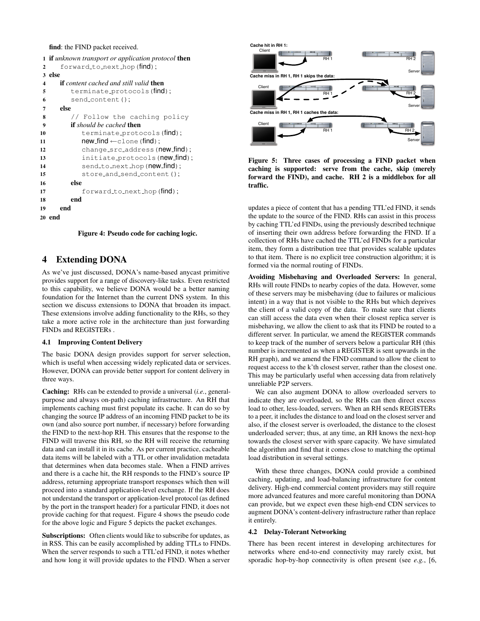find: the FIND packet received.

|                         | 1 <b>if</b> unknown transport or application protocol <b>then</b> |  |  |  |  |
|-------------------------|-------------------------------------------------------------------|--|--|--|--|
| $\mathbf{2}$            | forward to next hop (find);                                       |  |  |  |  |
|                         | 3 else                                                            |  |  |  |  |
| $\overline{\mathbf{4}}$ | <b>if</b> content cached and still valid <b>then</b>              |  |  |  |  |
| 5                       | terminate_protocols(find);                                        |  |  |  |  |
| 6                       | send_content();                                                   |  |  |  |  |
| 7                       | else                                                              |  |  |  |  |
| 8                       | // Follow the caching policy                                      |  |  |  |  |
| 9                       | <b>if</b> should be cached <b>then</b>                            |  |  |  |  |
| 10                      | terminate protocols (find);                                       |  |  |  |  |
| 11                      | $new\_find \leftarrow \texttt{clone}(find);$                      |  |  |  |  |
| 12                      | change_src_address(new_find);                                     |  |  |  |  |
| 13                      | initiate_protocols(new_find);                                     |  |  |  |  |
| 14                      | send_to_next_hop( <b>new_find</b> );                              |  |  |  |  |
| 15                      | store_and_send_content();                                         |  |  |  |  |
| 16                      | else                                                              |  |  |  |  |
| 17                      | forward to next hop (find);                                       |  |  |  |  |
| 18                      | end                                                               |  |  |  |  |
| 19                      | end                                                               |  |  |  |  |
|                         | 20 end                                                            |  |  |  |  |
|                         |                                                                   |  |  |  |  |

Figure 4: Pseudo code for caching logic.

# 4 Extending DONA

As we've just discussed, DONA's name-based anycast primitive provides support for a range of discovery-like tasks. Even restricted to this capability, we believe DONA would be a better naming foundation for the Internet than the current DNS system. In this section we discuss extensions to DONA that broaden its impact. These extensions involve adding functionality to the RHs, so they take a more active role in the architecture than just forwarding FINDs and REGISTERs .

#### 4.1 Improving Content Delivery

The basic DONA design provides support for server selection, which is useful when accessing widely replicated data or services. However, DONA can provide better support for content delivery in three ways.

Caching: RHs can be extended to provide a universal (*i.e.*, generalpurpose and always on-path) caching infrastructure. An RH that implements caching must first populate its cache. It can do so by changing the source IP address of an incoming FIND packet to be its own (and also source port number, if necessary) before forwarding the FIND to the next-hop RH. This ensures that the response to the FIND will traverse this RH, so the RH will receive the returning data and can install it in its cache. As per current practice, cacheable data items will be labeled with a TTL or other invalidation metadata that determines when data becomes stale. When a FIND arrives and there is a cache hit, the RH responds to the FIND's source IP address, returning appropriate transport responses which then will proceed into a standard application-level exchange. If the RH does not understand the transport or application-level protocol (as defined by the port in the transport header) for a particular FIND, it does not provide caching for that request. Figure 4 shows the pseudo code for the above logic and Figure 5 depicts the packet exchanges.

Subscriptions: Often clients would like to subscribe for updates, as in RSS. This can be easily accomplished by adding TTLs to FINDs. When the server responds to such a TTL'ed FIND, it notes whether and how long it will provide updates to the FIND. When a server



Figure 5: Three cases of processing a FIND packet when caching is supported: serve from the cache, skip (merely forward the FIND), and cache. RH 2 is a middlebox for all traffic.

updates a piece of content that has a pending TTL'ed FIND, it sends the update to the source of the FIND. RHs can assist in this process by caching TTL'ed FINDs, using the previously described technique of inserting their own address before forwarding the FIND. If a collection of RHs have cached the TTL'ed FINDs for a particular item, they form a distribution tree that provides scalable updates to that item. There is no explicit tree construction algorithm; it is formed via the normal routing of FINDs.

Avoiding Misbehaving and Overloaded Servers: In general, RHs will route FINDs to nearby copies of the data. However, some of these servers may be misbehaving (due to failures or malicious intent) in a way that is not visible to the RHs but which deprives the client of a valid copy of the data. To make sure that clients can still access the data even when their closest replica server is misbehaving, we allow the client to ask that its FIND be routed to a different server. In particular, we amend the REGISTER commands to keep track of the number of servers below a particular RH (this number is incremented as when a REGISTER is sent upwards in the RH graph), and we amend the FIND command to allow the client to request access to the k'th closest server, rather than the closest one. This may be particularly useful when accessing data from relatively unreliable P2P servers.

We can also augment DONA to allow overloaded servers to indicate they are overloaded, so the RHs can then direct excess load to other, less-loaded, servers. When an RH sends REGISTERs to a peer, it includes the distance to and load on the closest server and also, if the closest server is overloaded, the distance to the closest underloaded server; thus, at any time, an RH knows the next-hop towards the closest server with spare capacity. We have simulated the algorithm and find that it comes close to matching the optimal load distribution in several settings.

With these three changes, DONA could provide a combined caching, updating, and load-balancing infrastructure for content delivery. High-end commercial content providers may still require more advanced features and more careful monitoring than DONA can provide, but we expect even these high-end CDN services to augment DONA's content-delivery infrastructure rather than replace it entirely.

### 4.2 Delay-Tolerant Networking

There has been recent interest in developing architectures for networks where end-to-end connectivity may rarely exist, but sporadic hop-by-hop connectivity is often present (see *e.g.*, [6,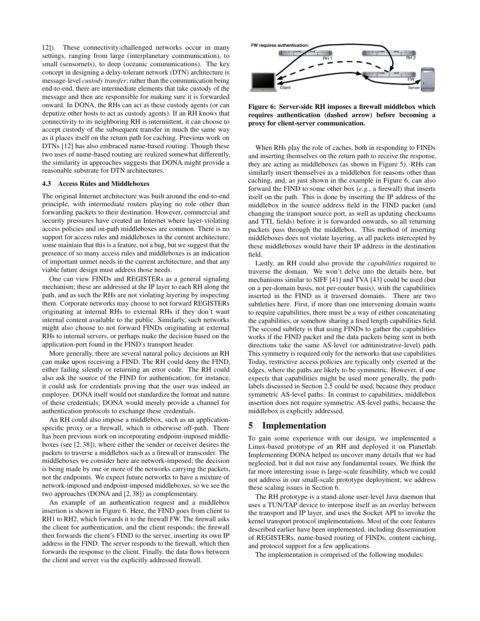12]). These connectivity-challenged networks occur in many settings, ranging from large (interplanetary communication), to small (sensornets), to deep (oceanic communications). The key concept in designing a delay-tolerant network (DTN) architecture is message-level *custody transfer*; rather than the communication being end-to-end, there are intermediate elements that take custody of the message and then are responsible for making sure it is forwarded onward. In DONA, the RHs can act as these custody agents (or can deputize other hosts to act as custody agents). If an RH knows that connectivity to its neighboring RH is intermittent, it can choose to accept custody of the subsequent transfer in much the same way as it places itself on the return path for caching. Previous work on DTNs [12] has also embraced name-based routing. Though these two uses of name-based routing are realized somewhat differently, the similarity in approaches suggests that DONA might provide a reasonable substrate for DTN architectures.

### 4.3 Access Rules and Middleboxes

The original Internet architecture was built around the end-to-end principle, with intermediate routers playing no role other than forwarding packets to their destination. However, commercial and security pressures have created an Internet where layer-violating access policies and on-path middleboxes are common. There is no support for access rules and middleboxes in the current architecture; some maintain that this is a feature, not a bug, but we suggest that the presence of so many access rules and middleboxes is an indication of important unmet needs in the current architecture, and that any viable future design must address those needs.

One can view FINDs and REGISTERs as a general signaling mechanism; these are addressed at the IP layer to each RH along the path, and as such the RHs are not violating layering by inspecting them. Corporate networks may choose to not forward REGISTERs originating at internal RHs to external RHs if they don't want internal content available to the public. Similarly, such networks might also choose to not forward FINDs originating at external RHs to internal servers, or perhaps make the decision based on the application-port found in the FIND's transport header.

More generally, there are several natural policy decisions an RH can make upon receiving a FIND. The RH could deny the FIND, either failing silently or returning an error code. The RH could also ask the source of the FIND for authentication; for instance, it could ask for credentials proving that the user was indeed an employee. DONA itself would not standardize the format and nature of these credentials; DONA would merely provide a channel for authentication protocols to exchange these credentials.

An RH could also impose a middlebox, such as an applicationspecific proxy or a firewall, which is otherwise off-path. There has been previous work on incorporating endpoint-imposed middleboxes (see [2, 38]), where either the sender or receiver desires the packets to traverse a middlebox such as a firewall or transcoder. The middleboxes we consider here are network-imposed; the decision is being made by one or more of the networks carrying the packets, not the endpoints. We expect future networks to have a mixture of network-imposed and endpoint-imposed middleboxes, so we see the two approaches (DONA and [2, 38]) as complementary.

An example of an authentication request and a middlebox insertion is shown in Figure 6. Here, the FIND goes from client to RH1 to RH2, which forwards it to the firewall FW. The firewall asks the client for authentication, and the client responds; the firewall then forwards the client's FIND to the server, inserting its own IP address in the FIND. The server responds to the firewall, which then forwards the response to the client. Finally, the data flows between the client and server via the explicitly addressed firewall.



Figure 6: Server-side RH imposes a firewall middlebox which requires authentication (dashed arrow) before becoming a proxy for client-server communication.

When RHs play the role of caches, both in responding to FINDs and inserting themselves on the return path to receive the response, they are acting as middleboxes (as shown in Figure 5). RHs can similarly insert themselves as a middlebox for reasons other than caching, and, as just shown in the example in Figure 6, can also forward the FIND to some other box (*e.g.*, a firewall) that inserts itself on the path. This is done by inserting the IP address of the middlebox in the source address field in the FIND packet (and changing the transport source port, as well as updating checksums and TTL fields) before it is forwarded onwards, so all returning packets pass through the middlebox. This method of inserting middleboxes does not violate layering, as all packets intercepted by these middleboxes would have their IP address in the destination field.

Lastly, an RH could also provide the *capabilities* required to traverse the domain. We won't delve into the details here, but mechanisms similar to SIFF [41] and TVA [43] could be used (but on a per-domain basis, not per-router basis), with the capabilities inserted in the FIND as it traversed domains. There are two subtleties here. First, if more than one intervening domain wants to require capabilities, there must be a way of either concatenating the capabilities, or somehow sharing a fixed length capabilities field. The second subtlety is that using FINDs to gather the capabilities works if the FIND packet and the data packets being sent in both directions take the same AS-level (or administrative-level) path. This symmetry is required only for the networks that use capabilities. Today, restrictive access policies are typically only exerted at the edges, where the paths are likely to be symmetric. However, if one expects that capabilities might be used more generally, the pathlabels discussed in Section 2.5 could be used, because they produce symmetric AS-level paths. In contrast to capabilities, middlebox insertion does not require symmetric AS-level paths, because the middlebox is explicitly addressed.

### 5 Implementation

To gain some experience with our design, we implemented a Linux-based prototype of an RH and deployed it on Planetlab. Implementing DONA helped us uncover many details that we had neglected, but it did not raise any fundamental issues. We think the far more interesting issue is large-scale feasibility, which we could not address in our small-scale prototype deployment; we address these scaling issues in Section 6.

The RH prototype is a stand-alone user-level Java daemon that uses a TUN/TAP device to interpose itself as an overlay between the transport and IP layer, and uses the Socket API to invoke the kernel transport protocol implementations. Most of the core features described earlier have been implemented, including dissemination of REGISTERs, name-based routing of FINDs, content caching, and protocol support for a few applications.

The implementation is comprised of the following modules: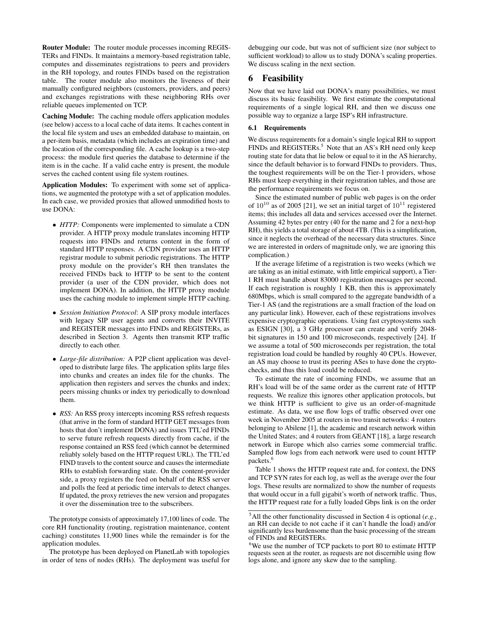Router Module: The router module processes incoming REGIS-TERs and FINDs. It maintains a memory-based registration table, computes and disseminates registrations to peers and providers in the RH topology, and routes FINDs based on the registration table. The router module also monitors the liveness of their manually configured neighbors (customers, providers, and peers) and exchanges registrations with these neighboring RHs over reliable queues implemented on TCP.

Caching Module: The caching module offers application modules (see below) access to a local cache of data items. It caches content in the local file system and uses an embedded database to maintain, on a per-item basis, metadata (which includes an expiration time) and the location of the corresponding file. A cache lookup is a two-step process: the module first queries the database to determine if the item is in the cache. If a valid cache entry is present, the module serves the cached content using file system routines.

Application Modules: To experiment with some set of applications, we augmented the prototype with a set of application modules. In each case, we provided proxies that allowed unmodified hosts to use DONA:

- *HTTP:* Components were implemented to simulate a CDN provider. A HTTP proxy module translates incoming HTTP requests into FINDs and returns content in the form of standard HTTP responses. A CDN provider uses an HTTP registrar module to submit periodic registrations. The HTTP proxy module on the provider's RH then translates the received FINDs back to HTTP to be sent to the content provider (a user of the CDN provider, which does not implement DONA). In addition, the HTTP proxy module uses the caching module to implement simple HTTP caching.
- *Session Initiation Protocol*: A SIP proxy module interfaces with legacy SIP user agents and converts their INVITE and REGISTER messages into FINDs and REGISTERs, as described in Section 3. Agents then transmit RTP traffic directly to each other.
- *Large-file distribution:* A P2P client application was developed to distribute large files. The application splits large files into chunks and creates an index file for the chunks. The application then registers and serves the chunks and index; peers missing chunks or index try periodically to download them.
- *RSS:* An RSS proxy intercepts incoming RSS refresh requests (that arrive in the form of standard HTTP GET messages from hosts that don't implement DONA) and issues TTL'ed FINDs to serve future refresh requests directly from cache, if the response contained an RSS feed (which cannot be determined reliably solely based on the HTTP request URL). The TTL'ed FIND travels to the content source and causes the intermediate RHs to establish forwarding state. On the content-provider side, a proxy registers the feed on behalf of the RSS server and polls the feed at periodic time intervals to detect changes. If updated, the proxy retrieves the new version and propagates it over the dissemination tree to the subscribers.

The prototype consists of approximately 17,100 lines of code. The core RH functionality (routing, registration maintenance, content caching) constitutes 11,900 lines while the remainder is for the application modules.

The prototype has been deployed on PlanetLab with topologies in order of tens of nodes (RHs). The deployment was useful for debugging our code, but was not of sufficient size (nor subject to sufficient workload) to allow us to study DONA's scaling properties. We discuss scaling in the next section.

# 6 Feasibility

Now that we have laid out DONA's many possibilities, we must discuss its basic feasibility. We first estimate the computational requirements of a single logical RH, and then we discuss one possible way to organize a large ISP's RH infrastructure.

### 6.1 Requirements

We discuss requirements for a domain's single logical RH to support FINDs and REGISTERs.<sup>5</sup> Note that an AS's RH need only keep routing state for data that lie below or equal to it in the AS hierarchy, since the default behavior is to forward FINDs to providers. Thus, the toughest requirements will be on the Tier-1 providers, whose RHs must keep everything in their registration tables, and those are the performance requirements we focus on.

Since the estimated number of public web pages is on the order of  $10^{10}$  as of 2005 [21], we set an initial target of  $10^{11}$  registered items; this includes all data and services accessed over the Internet. Assuming 42 bytes per entry (40 for the name and 2 for a next-hop RH), this yields a total storage of about 4TB. (This is a simplification, since it neglects the overhead of the necessary data structures. Since we are interested in orders of magnitude only, we are ignoring this complication.)

If the average lifetime of a registration is two weeks (which we are taking as an initial estimate, with little empirical support), a Tier-1 RH must handle about 83000 registration messages per second. If each registration is roughly 1 KB, then this is approximately 680Mbps, which is small compared to the aggregate bandwidth of a Tier-1 AS (and the registrations are a small fraction of the load on any particular link). However, each of these registrations involves expensive cryptographic operations. Using fast cryptosystems such as ESIGN [30], a 3 GHz processor can create and verify 2048 bit signatures in 150 and 100 microseconds, respectively [24]. If we assume a total of 500 microseconds per registration, the total registration load could be handled by roughly 40 CPUs. However, an AS may choose to trust its peering ASes to have done the cryptochecks, and thus this load could be reduced.

To estimate the rate of incoming FINDs, we assume that an RH's load will be of the same order as the current rate of HTTP requests. We realize this ignores other application protocols, but we think HTTP is sufficient to give us an order-of-magnitude estimate. As data, we use flow logs of traffic observed over one week in November 2005 at routers in two transit networks: 4 routers belonging to Abilene [1], the academic and research network within the United States; and 4 routers from GEANT [18], a large research network in Europe which also carries some commercial traffic. Sampled flow logs from each network were used to count HTTP packets.<sup>6</sup>

Table 1 shows the HTTP request rate and, for context, the DNS and TCP SYN rates for each log, as well as the average over the four logs. These results are normalized to show the number of requests that would occur in a full gigabit's worth of network traffic. Thus, the HTTP request rate for a fully loaded Gbps link is on the order

<sup>&</sup>lt;sup>5</sup> All the other functionality discussed in Section 4 is optional  $(e, g, \cdot)$  an RH can decide to not cache if it can't handle the load) and/or an RH can decide to not cache if it can't handle the load) and/or significantly less burdensome than the basic processing of the stream of FINDs and REGISTERs.

 $6$ We use the number of TCP packets to port 80 to estimate HTTP requests seen at the router, as requests are not discernible using flow logs alone, and ignore any skew due to the sampling.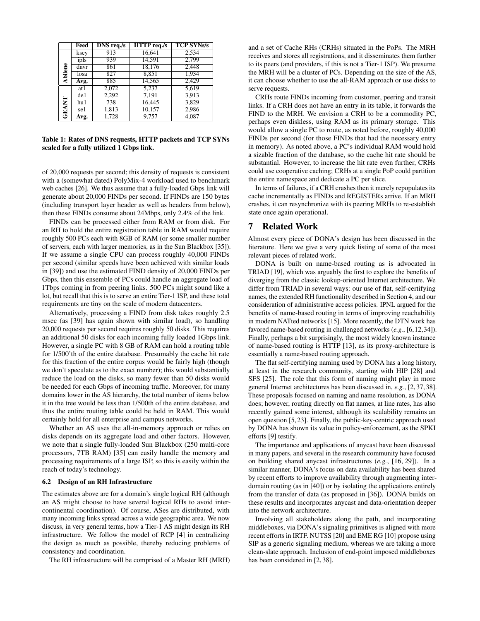|         | Feed | $\overline{DNS}$ req./s | $\overline{HTTP}$ req./s | <b>TCP SYNs/s</b> |
|---------|------|-------------------------|--------------------------|-------------------|
|         | kscy | 913                     | 16,641                   | 2,534             |
|         | ipls | 939                     | 14.591                   | 2,799             |
| Abilene | dnvr | 861                     | 18,176                   | 2,448             |
|         | losa | 827                     | 8,851                    | 1,934             |
|         | Avg. | 885                     | 14,565                   | 2,429             |
|         | at 1 | 2,072                   | 5,237                    | 5,619             |
|         | de1  | 2,292                   | 7.191                    | 3,913             |
|         | hu1  | 738                     | 16,445                   | 3,829             |
| GEANT   | se1  | 1,813                   | 10,157                   | 2,986             |
|         | Āvg. | 1,728                   | 9,757                    | 4,087             |

Table 1: Rates of DNS requests, HTTP packets and TCP SYNs scaled for a fully utilized 1 Gbps link.

of 20,000 requests per second; this density of requests is consistent with a (somewhat dated) PolyMix-4 workload used to benchmark web caches [26]. We thus assume that a fully-loaded Gbps link will generate about 20,000 FINDs per second. If FINDs are 150 bytes (including transport layer header as well as headers from below), then these FINDs consume about 24Mbps, only 2.4% of the link.

FINDs can be processed either from RAM or from disk. For an RH to hold the entire registration table in RAM would require roughly 500 PCs each with 8GB of RAM (or some smaller number of servers, each with larger memories, as in the Sun Blackbox [35]). If we assume a single CPU can process roughly 40,000 FINDs per second (similar speeds have been achieved with similar loads in [39]) and use the estimated FIND density of 20,000 FINDs per Gbps, then this ensemble of PCs could handle an aggregate load of 1Tbps coming in from peering links. 500 PCs might sound like a lot, but recall that this is to serve an entire Tier-1 ISP, and these total requirements are tiny on the scale of modern datacenters.

Alternatively, processing a FIND from disk takes roughly 2.5 msec (as [39] has again shown with similar load), so handling 20,000 requests per second requires roughly 50 disks. This requires an additional 50 disks for each incoming fully loaded 1Gbps link. However, a single PC with 8 GB of RAM can hold a routing table for 1/500'th of the entire database. Presumably the cache hit rate for this fraction of the entire corpus would be fairly high (though we don't speculate as to the exact number); this would substantially reduce the load on the disks, so many fewer than 50 disks would be needed for each Gbps of incoming traffic. Moreover, for many domains lower in the AS hierarchy, the total number of items below it in the tree would be less than 1/500th of the entire database, and thus the entire routing table could be held in RAM. This would certainly hold for all enterprise and campus networks.

Whether an AS uses the all-in-memory approach or relies on disks depends on its aggregate load and other factors. However, we note that a single fully-loaded Sun Blackbox (250 multi-core processors, 7TB RAM) [35] can easily handle the memory and processing requirements of a large ISP, so this is easily within the reach of today's technology.

### 6.2 Design of an RH Infrastructure

The estimates above are for a domain's single logical RH (although an AS might choose to have several logical RHs to avoid intercontinental coordination). Of course, ASes are distributed, with many incoming links spread across a wide geographic area. We now discuss, in very general terms, how a Tier-1 AS might design its RH infrastructure. We follow the model of RCP [4] in centralizing the design as much as possible, thereby reducing problems of consistency and coordination.

The RH infrastructure will be comprised of a Master RH (MRH)

and a set of Cache RHs (CRHs) situated in the PoPs. The MRH receives and stores all registrations, and it disseminates them further to its peers (and providers, if this is not a Tier-1 ISP). We presume the MRH will be a cluster of PCs. Depending on the size of the AS, it can choose whether to use the all-RAM approach or use disks to serve requests.

CRHs route FINDs incoming from customer, peering and transit links. If a CRH does not have an entry in its table, it forwards the FIND to the MRH. We envision a CRH to be a commodity PC, perhaps even diskless, using RAM as its primary storage. This would allow a single PC to route, as noted before, roughly 40,000 FINDs per second (for those FINDs that had the necessary entry in memory). As noted above, a PC's individual RAM would hold a sizable fraction of the database, so the cache hit rate should be substantial. However, to increase the hit rate even further, CRHs could use cooperative caching; CRHs at a single PoP could partition the entire namespace and dedicate a PC per slice.

In terms of failures, if a CRH crashes then it merely repopulates its cache incrementally as FINDs and REGISTERs arrive. If an MRH crashes, it can resynchronize with its peering MRHs to re-establish state once again operational.

# 7 Related Work

Almost every piece of DONA's design has been discussed in the literature. Here we give a very quick listing of some of the most relevant pieces of related work.

DONA is built on name-based routing as is advocated in TRIAD [19], which was arguably the first to explore the benefits of diverging from the classic lookup-oriented Internet architecture. We differ from TRIAD in several ways: our use of flat, self-certifying names, the extended RH functionality described in Section 4, and our consideration of administrative access policies. IPNL argued for the benefits of name-based routing in terms of improving reachability in modern NATted networks [15]. More recently, the DTN work has favored name-based routing in challenged networks (*e.g.*, [6,12,34]). Finally, perhaps a bit surprisingly, the most widely known instance of name-based routing is HTTP [13], as its proxy-architecture is essentially a name-based routing approach.

The flat self-certifying naming used by DONA has a long history, at least in the research community, starting with HIP [28] and SFS [25]. The role that this form of naming might play in more general Internet architectures has been discussed in, *e.g.*, [2, 37, 38]. These proposals focused on naming and name resolution, as DONA does; however, routing directly on flat names, at line rates, has also recently gained some interest, although its scalability remains an open question [5, 23]. Finally, the public-key-centric approach used by DONA has shown its value in policy-enforcement, as the SPKI efforts [9] testify.

The importance and applications of anycast have been discussed in many papers, and several in the research community have focused on building shared anycast infrastructures (*e.g.*, [16, 29]). In a similar manner, DONA's focus on data availability has been shared by recent efforts to improve availability through augmenting interdomain routing (as in [40]) or by isolating the applications entirely from the transfer of data (as proposed in [36]). DONA builds on these results and incorporates anycast and data-orientation deeper into the network architecture.

Involving all stakeholders along the path, and incorporating middleboxes, via DONA's signaling primitives is aligned with more recent efforts in IRTF. NUTSS [20] and EME RG [10] propose using SIP as a generic signaling medium, whereas we are taking a more clean-slate approach. Inclusion of end-point imposed middleboxes has been considered in [2, 38].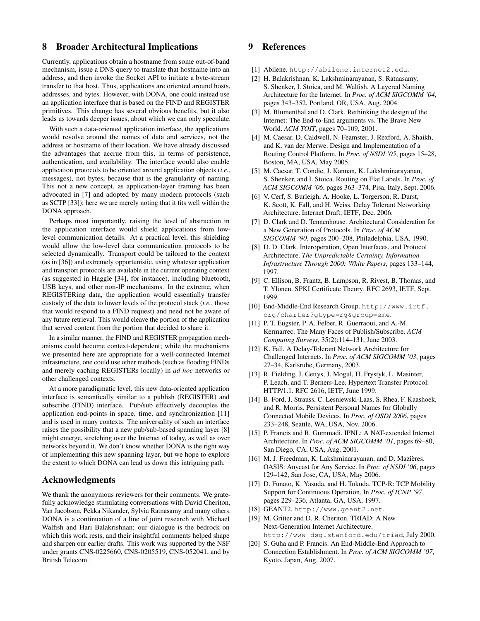# 8 Broader Architectural Implications

Currently, applications obtain a hostname from some out-of-band mechanism, issue a DNS query to translate that hostname into an address, and then invoke the Socket API to initiate a byte-stream transfer to that host. Thus, applications are oriented around hosts, addresses, and bytes. However, with DONA, one could instead use an application interface that is based on the FIND and REGISTER primitives. This change has several obvious benefits, but it also leads us towards deeper issues, about which we can only speculate.

With such a data-oriented application interface, the applications would revolve around the names of data and services, not the address or hostname of their location. We have already discussed the advantages that accrue from this, in terms of persistence, authentication, and availability. The interface would also enable application protocols to be oriented around application objects (*i.e.*, messages), not bytes, because that is the granularity of naming. This not a new concept, as application-layer framing has been advocated in [7] and adopted by many modern protocols (such as SCTP [33]); here we are merely noting that it fits well within the DONA approach.

Perhaps most importantly, raising the level of abstraction in the application interface would shield applications from lowlevel communication details. At a practical level, this shielding would allow the low-level data communication protocols to be selected dynamically. Transport could be tailored to the context (as in [36]) and extremely opportunistic, using whatever application and transport protocols are available in the current operating context (as suggested in Haggle [34], for instance), including bluetooth, USB keys, and other non-IP mechanisms. In the extreme, when REGISTERing data, the application would essentially transfer custody of the data to lower levels of the protocol stack (*i.e.*, those that would respond to a FIND request) and need not be aware of any future retrieval. This would cleave the portion of the application that served content from the portion that decided to share it.

In a similar manner, the FIND and REGISTER propagation mechanisms could become context-dependent; while the mechanisms we presented here are appropriate for a well-connected Internet infrastructure, one could use other methods (such as flooding FINDs and merely caching REGISTERs locally) in *ad hoc* networks or other challenged contexts.

At a more paradigmatic level, this new data-oriented application interface is semantically similar to a publish (REGISTER) and subscribe (FIND) interface. Pub/sub effectively decouples the application end-points in space, time, and synchronization [11] and is used in many contexts. The universality of such an interface raises the possibility that a new pub/sub-based spanning layer [8] might emerge, stretching over the Internet of today, as well as over networks beyond it. We don't know whether DONA is the right way of implementing this new spanning layer, but we hope to explore the extent to which DONA can lead us down this intriguing path.

# Acknowledgments

We thank the anonymous reviewers for their comments. We gratefully acknowledge stimulating conversations with David Cheriton, Van Jacobson, Pekka Nikander, Sylvia Ratnasamy and many others. DONA is a continuation of a line of joint research with Michael Walfish and Hari Balakrishnan; our dialogue is the bedrock on which this work rests, and their insightful comments helped shape and sharpen our earlier drafts. This work was supported by the NSF under grants CNS-0225660, CNS-0205519, CNS-052041, and by British Telecom.

# 9 References

- [1] Abilene. http://abilene.internet2.edu.
- [2] H. Balakrishnan, K. Lakshminarayanan, S. Ratnasamy, S. Shenker, I. Stoica, and M. Walfish. A Layered Naming Architecture for the Internet. In *Proc. of ACM SIGCOMM '04*, pages 343–352, Portland, OR, USA, Aug. 2004.
- [3] M. Blumenthal and D. Clark. Rethinking the design of the Internet: The End-to-End arguments vs. The Brave New World. *ACM TOIT*, pages 70–109, 2001.
- [4] M. Caesar, D. Caldwell, N. Feamster, J. Rexford, A. Shaikh, and K. van der Merwe. Design and Implementation of a Routing Control Platform. In *Proc. of NSDI '05*, pages 15–28, Boston, MA, USA, May 2005.
- [5] M. Caesar, T. Condie, J. Kannan, K. Lakshminarayanan, S. Shenker, and I. Stoica. Routing on Flat Labels. In *Proc. of ACM SIGCOMM '06*, pages 363–374, Pisa, Italy, Sept. 2006.
- [6] V. Cerf, S. Burleigh, A. Hooke, L. Torgerson, R. Durst, K. Scott, K. Fall, and H. Weiss. Delay Tolerant Networking Architecture. Internet Draft, IETF, Dec. 2006.
- [7] D. Clark and D. Tennenhouse. Architectural Consideration for a New Generation of Protocols. In *Proc. of ACM SIGCOMM '90*, pages 200–208, Philadelphia, USA, 1990.
- [8] D. D. Clark. Interoperation, Open Interfaces, and Protocol Architecture. *The Unpredictable Certainty, Information Infrastructure Through 2000: White Papers*, pages 133–144, 1997.
- [9] C. Ellison, B. Frantz, B. Lampson, R. Rivest, B. Thomas, and T. Ylönen. SPKI Certificate Theory. RFC 2693, IETF, Sept. 1999.
- [10] End-Middle-End Research Group. http://www.irtf. org/charter?gtype=rg&group=eme.
- [11] P. T. Eugster, P. A. Felber, R. Guerraoui, and A.-M. Kermarrec. The Many Faces of Publish/Subscribe. *ACM Computing Surveys*, 35(2):114–131, June 2003.
- [12] K. Fall. A Delay-Tolerant Network Architecture for Challenged Internets. In *Proc. of ACM SIGCOMM '03*, pages 27–34, Karlsruhe, Germany, 2003.
- [13] R. Fielding, J. Gettys, J. Mogul, H. Frystyk, L. Masinter, P. Leach, and T. Berners-Lee. Hypertext Transfer Protocol: HTTP/1.1. RFC 2616, IETF, June 1999.
- [14] B. Ford, J. Strauss, C. Lesniewski-Laas, S. Rhea, F. Kaashoek, and R. Morris. Persistent Personal Names for Globally Connected Mobile Devices. In *Proc. of OSDI 2006*, pages 233–248, Seattle, WA, USA, Nov. 2006.
- [15] P. Francis and R. Gummadi. IPNL: A NAT-extended Internet Architecture. In *Proc. of ACM SIGCOMM '01*, pages 69–80, San Diego, CA, USA, Aug. 2001.
- [16] M. J. Freedman, K. Lakshminarayanan, and D. Mazières. OASIS: Anycast for Any Service. In *Proc. of NSDI '06*, pages 129–142, San Jose, CA, USA, May 2006.
- [17] D. Funato, K. Yasuda, and H. Tokuda. TCP-R: TCP Mobility Support for Continuous Operation. In *Proc. of ICNP '97*, pages 229–236, Atlanta, GA, USA, 1997.
- [18] GEANT2. http://www.geant2.net.
- [19] M. Gritter and D. R. Cheriton. TRIAD: A New Next-Generation Internet Architecture. http://www-dsg.stanford.edu/triad, July 2000.
- [20] S. Guha and P. Francis. An End-Middle-End Approach to Connection Establishment. In *Proc. of ACM SIGCOMM '07*, Kyoto, Japan, Aug. 2007.